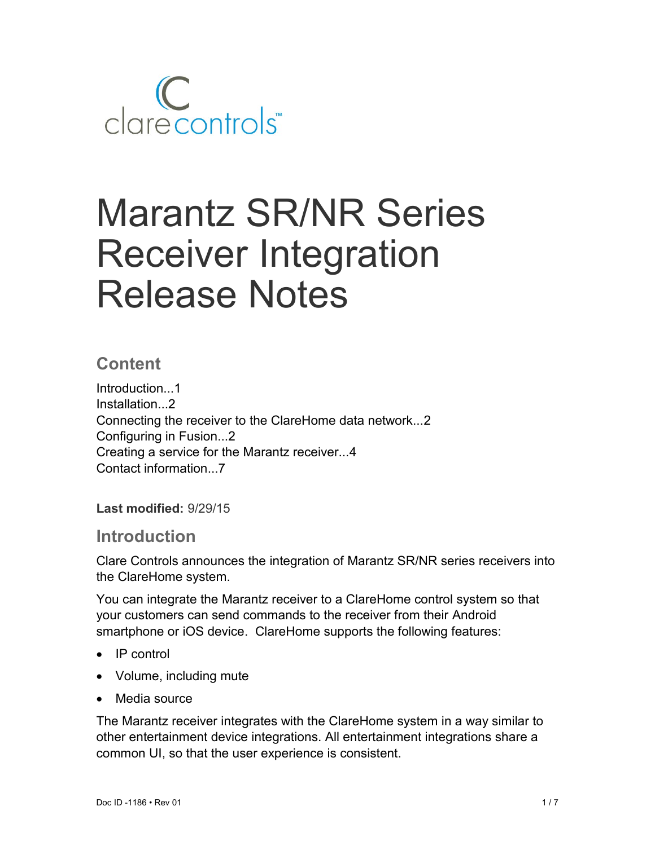

# Marantz SR/NR Series Receiver Integration Release Notes

## **Content**

Introduction...1 Installation...2 Connecting the receiver to the ClareHome data network...2 Configuring in Fusion...2 Creating a service for the Marantz receiver...4 Contact information...7

**Last modified:** 9/29/15

### **Introduction**

Clare Controls announces the integration of Marantz SR/NR series receivers into the ClareHome system.

You can integrate the Marantz receiver to a ClareHome control system so that your customers can send commands to the receiver from their Android smartphone or iOS device. ClareHome supports the following features:

- $\bullet$  IP control
- Volume, including mute
- Media source

The Marantz receiver integrates with the ClareHome system in a way similar to other entertainment device integrations. All entertainment integrations share a common UI, so that the user experience is consistent.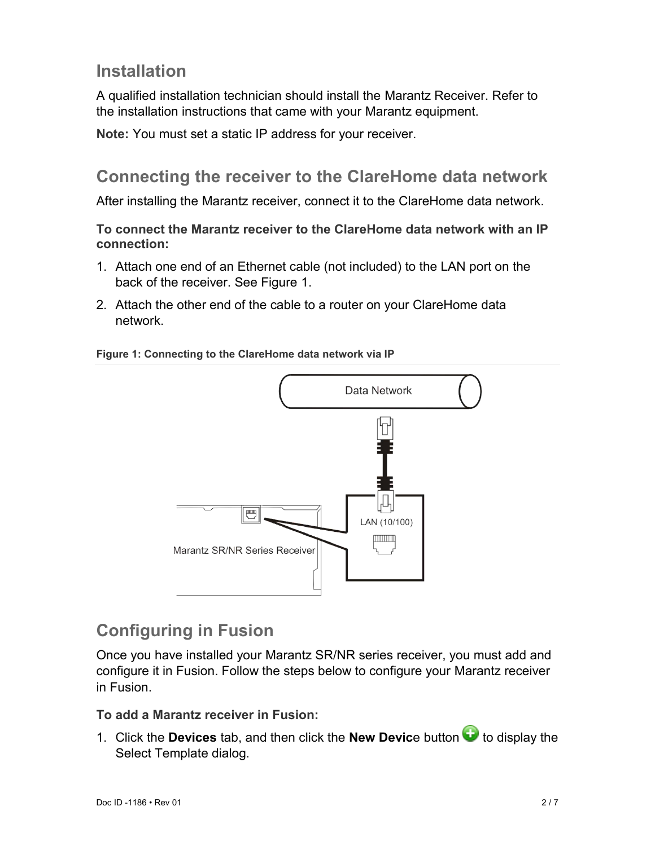# **Installation**

A qualified installation technician should install the Marantz Receiver. Refer to the installation instructions that came with your Marantz equipment.

**Note:** You must set a static IP address for your receiver.

# **Connecting the receiver to the ClareHome data network**

After installing the Marantz receiver, connect it to the ClareHome data network.

**To connect the Marantz receiver to the ClareHome data network with an IP connection:** 

- 1. Attach one end of an Ethernet cable (not included) to the LAN port on the back of the receiver. See Figure 1.
- 2. Attach the other end of the cable to a router on your ClareHome data network.

#### **Figure 1: Connecting to the ClareHome data network via IP**



# **Configuring in Fusion**

Once you have installed your Marantz SR/NR series receiver, you must add and configure it in Fusion. Follow the steps below to configure your Marantz receiver in Fusion.

#### **To add a Marantz receiver in Fusion:**

1. Click the **Devices** tab, and then click the **New Devic**e button **the** to display the Select Template dialog.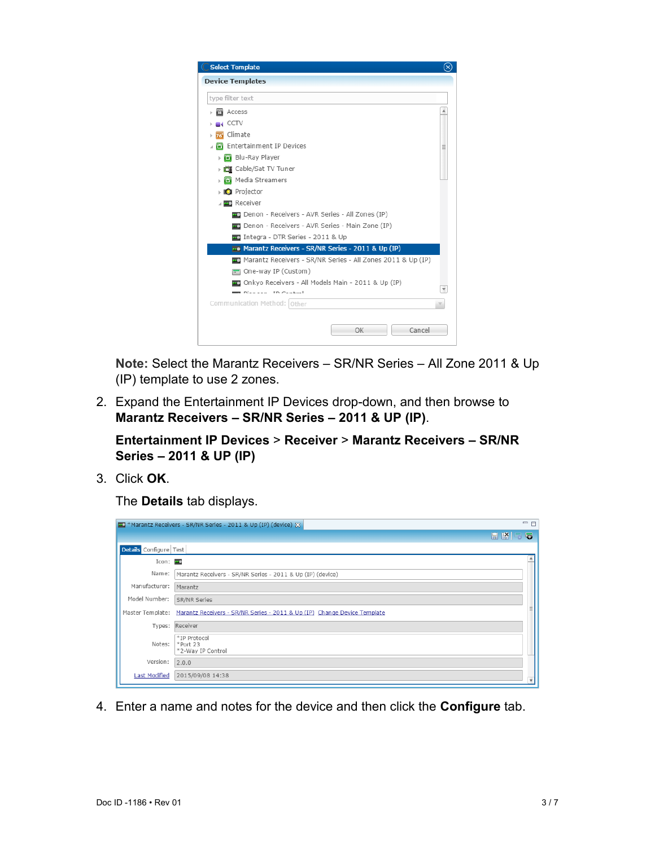

**Note:** Select the Marantz Receivers – SR/NR Series – All Zone 2011 & Up (IP) template to use 2 zones.

2. Expand the Entertainment IP Devices drop-down, and then browse to **Marantz Receivers – SR/NR Series – 2011 & UP (IP)**.

**Entertainment IP Devices** > **Receiver** > **Marantz Receivers – SR/NR Series – 2011 & UP (IP)**

3. Click **OK**.

The **Details** tab displays.

|                        | Marantz Receivers - SR/NR Series - 2011 & Up (IP) (device) &                              | $\blacksquare$              |
|------------------------|-------------------------------------------------------------------------------------------|-----------------------------|
|                        |                                                                                           | HKS<br>$\overline{\bullet}$ |
| Details Configure Test |                                                                                           |                             |
| Icon: 20               |                                                                                           |                             |
| Name:                  | Marantz Receivers - SR/NR Series - 2011 & Up (IP) (device)                                |                             |
| Manufacturer:          | Marantz                                                                                   |                             |
| Model Number:          | SR/NR Series                                                                              |                             |
|                        | Master Template: Marantz Receivers - SR/NR Series - 2011 & Up (IP) Change Device Template |                             |
|                        | Types: Receiver                                                                           |                             |
| Notes:                 | *IP Protocol<br>$*$ Port 23<br>*2-Way IP Control                                          |                             |
| Version:               | 2.0.0                                                                                     |                             |
| <b>Last Modified</b>   | 2015/09/08 14:38                                                                          |                             |

4. Enter a name and notes for the device and then click the **Configure** tab.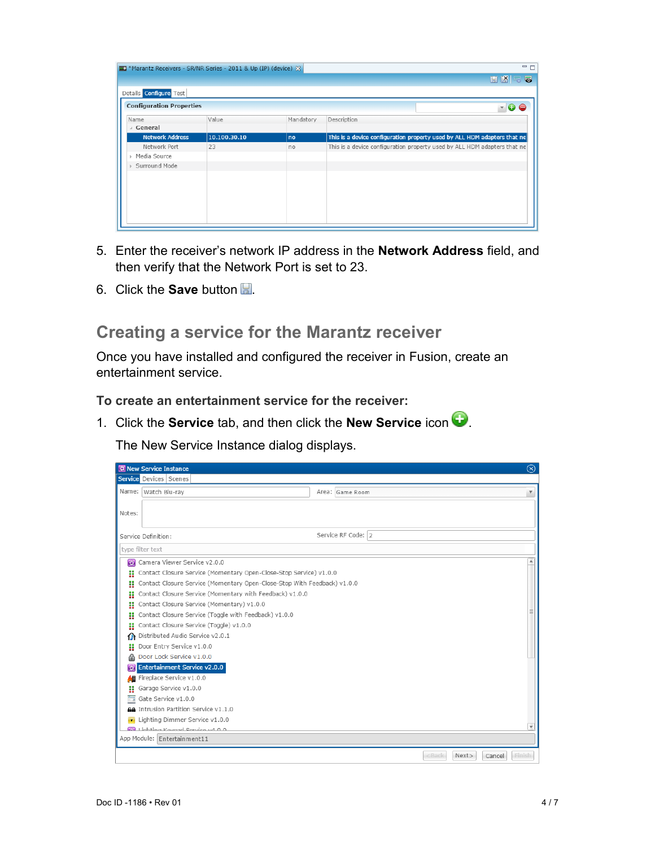| Marantz Receivers - SR/NR Series - 2011 & Up (IP) (device) & |              |           | 一日                                                                       |
|--------------------------------------------------------------|--------------|-----------|--------------------------------------------------------------------------|
|                                                              |              |           | <b>HKFS</b>                                                              |
| Details Configure Test                                       |              |           |                                                                          |
| <b>Configuration Properties</b>                              |              |           | $\sqrt{a}$                                                               |
| Name<br>⊿ General                                            | Value        | Mandatory | Description                                                              |
| <b>Network Address</b>                                       | 10.100.30.10 | no        | This is a device configuration property used by ALL HDM adapters that ne |
| Network Port                                                 | 23           | no        | This is a device configuration property used by ALL HDM adapters that ne |
| Media Source<br>b.                                           |              |           |                                                                          |
| Surround Mode                                                |              |           |                                                                          |
|                                                              |              |           |                                                                          |
|                                                              |              |           |                                                                          |
|                                                              |              |           |                                                                          |
|                                                              |              |           |                                                                          |
|                                                              |              |           |                                                                          |
|                                                              |              |           |                                                                          |

- 5. Enter the receiver's network IP address in the **Network Address** field, and then verify that the Network Port is set to 23.
- 6. Click the **Save** button ...

## **Creating a service for the Marantz receiver**

Once you have installed and configured the receiver in Fusion, create an entertainment service.

**To create an entertainment service for the receiver:** 

1. Click the **Service** tab, and then click the **New Service** icon  $\bullet$ .

The New Service Instance dialog displays.

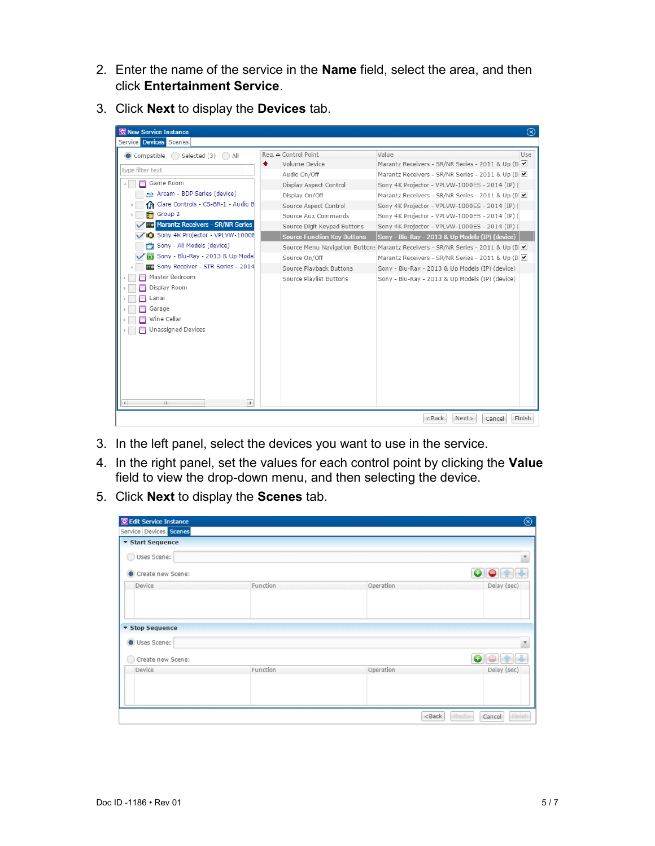- 2. Enter the name of the service in the **Name** field, select the area, and then click **Entertainment Service**.
- 3. Click **Next** to display the **Devices** tab.

| $\circledR$<br><b>RE</b> New Service Instance        |                                    |                                                                                 |     |  |  |
|------------------------------------------------------|------------------------------------|---------------------------------------------------------------------------------|-----|--|--|
| Service Devices Scenes                               |                                    |                                                                                 |     |  |  |
| Compatible<br>$\bigcirc$ Selected (3) $\bigcirc$ All | Reg. △ Control Point               | Value                                                                           | Use |  |  |
| ₩.                                                   | Volume Device                      | Marantz Receivers - SR/NR Series - 2011 & Up (II                                |     |  |  |
| type filter text                                     | Audio On/Off                       | Marantz Receivers - SR/NR Series - 2011 & Up (II                                |     |  |  |
| Game Room                                            | Display Aspect Control             | Sony 4K Projector - VPLVW-1000ES - 2014 (IP) (                                  |     |  |  |
| Arcam - BDP Series (device)                          | Display On/Off                     | Marantz Receivers - SR/NR Series - 2011 & Up (II                                |     |  |  |
| Clare Controls - CS-BR-1 - Audio B                   | Source Aspect Control              | Sony 4K Projector - VPLVW-1000ES - 2014 (IP) (                                  |     |  |  |
| $\blacksquare$ Group 2                               | Source Aux Commands                | Sony 4K Projector - VPLVW-1000ES - 2014 (IP) (                                  |     |  |  |
| Marantz Receivers - SR/NR Series<br>- 0              | Source Digit Keypad Buttons        | Sony 4K Projector - VPLVW-1000ES - 2014 (IP) (                                  |     |  |  |
| Sony 4K Projector - VPLVW-1000E                      | <b>Source Function Key Buttons</b> | Sony - Blu-Ray - 2013 & Up Models (IP) (device)                                 |     |  |  |
| Sony - All Models (device)                           |                                    | Source Menu Navigation Buttons Marantz Receivers - SR/NR Series - 2011 & Up (II |     |  |  |
| Sony - Blu-Ray - 2013 & Up Mode                      | Source On/Off                      | Marantz Receivers - SR/NR Series - 2011 & Up (II                                |     |  |  |
| Sony Receiver - STR Series - 2014                    | Source Playback Buttons            | Sony - Blu-Ray - 2013 & Up Models (IP) (device)                                 |     |  |  |
| Master Bedroom                                       | Source Playlist Buttons            | Sony - Blu-Ray - 2013 & Up Models (IP) (device)                                 |     |  |  |
| Display Room                                         |                                    |                                                                                 |     |  |  |
| .anai                                                |                                    |                                                                                 |     |  |  |
| Garage                                               |                                    |                                                                                 |     |  |  |
| Wine Cellar                                          |                                    |                                                                                 |     |  |  |
| Unassigned Devices                                   |                                    |                                                                                 |     |  |  |
|                                                      |                                    |                                                                                 |     |  |  |
|                                                      |                                    |                                                                                 |     |  |  |
|                                                      |                                    |                                                                                 |     |  |  |
|                                                      |                                    |                                                                                 |     |  |  |
|                                                      |                                    |                                                                                 |     |  |  |
|                                                      |                                    |                                                                                 |     |  |  |
| HL.<br>Þ.                                            |                                    |                                                                                 |     |  |  |
| Finish<br>$<$ Back<br>Next><br>Cancel                |                                    |                                                                                 |     |  |  |
|                                                      |                                    |                                                                                 |     |  |  |

- 3. In the left panel, select the devices you want to use in the service.
- 4. In the right panel, set the values for each control point by clicking the **Value** field to view the drop-down menu, and then selecting the device.
- 5. Click **Next** to display the **Scenes** tab.

| Edit Service Instance   |          |           | $\circledcirc$            |
|-------------------------|----------|-----------|---------------------------|
| Service Devices Scenes  |          |           |                           |
| <b>v</b> Start Sequence |          |           |                           |
| Uses Scene:             |          |           | Y                         |
| Create new Scene:       |          |           |                           |
| Device                  | Function | Operation | Delay (sec)               |
|                         |          |           |                           |
| ▼ Stop Sequence         |          |           |                           |
| Uses Scene:             |          |           |                           |
| Create new Scene:       |          |           | Œ                         |
| Device                  | Function | Operation | Delay (sec)               |
|                         |          |           |                           |
|                         |          |           |                           |
|                         |          | $<$ Back  | Next><br>Finish<br>Cancel |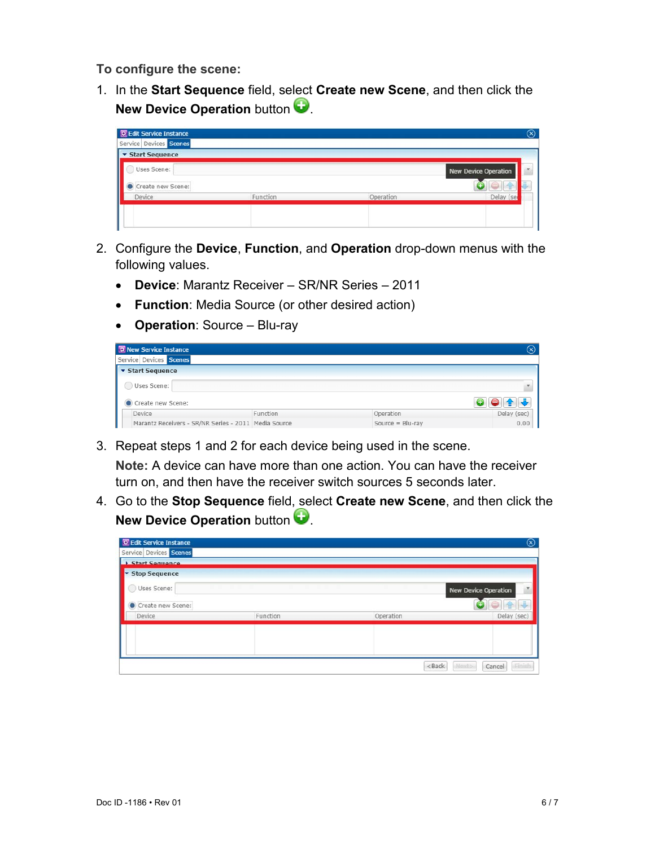**To configure the scene:** 

1. In the **Start Sequence** field, select **Create new Scene**, and then click the **New Device Operation** button

| <b>豆 Edit Service Instance</b> |          |           | (x)                         |
|--------------------------------|----------|-----------|-----------------------------|
| Service Devices Scenes         |          |           |                             |
| Start Sequence                 |          |           |                             |
| Uses Scene:                    |          |           | <b>New Device Operation</b> |
| Create new Scene:              |          |           |                             |
| Device                         | Function | Operation | Delay (ser                  |

- 2. Configure the **Device**, **Function**, and **Operation** drop-down menus with the following values.
	- **Device**: Marantz Receiver SR/NR Series 2011
	- **Function**: Media Source (or other desired action)
	- **Operation**: Source Blu-ray

| <b>RE</b> New Service Instance                       |          |                     | $(\mathsf{x})$ |
|------------------------------------------------------|----------|---------------------|----------------|
| Service Devices Scenes                               |          |                     |                |
| ▼ Start Sequence                                     |          |                     |                |
| Uses Scene:                                          |          |                     | v              |
| Create new Scene:                                    |          |                     |                |
| Device                                               | Function | Operation           | Delay (sec)    |
| Marantz Receivers - SR/NR Series - 2011 Media Source |          | Source = $Blu$ -ray | 0.00           |

3. Repeat steps 1 and 2 for each device being used in the scene.

**Note:** A device can have more than one action. You can have the receiver turn on, and then have the receiver switch sources 5 seconds later.

4. Go to the **Stop Sequence** field, select **Create new Scene**, and then click the **New Device Operation** button

| <b>R</b> Edit Service Instance<br>Service Devices Scenes |          |                                                           | $^{\circledR}$              |
|----------------------------------------------------------|----------|-----------------------------------------------------------|-----------------------------|
| <b>Start Sequence</b>                                    |          |                                                           |                             |
| Stop Sequence                                            |          |                                                           |                             |
| Uses Scene:                                              |          |                                                           | <b>New Device Operation</b> |
| Create new Scene:                                        |          |                                                           |                             |
| Device                                                   | Function | Operation                                                 | Delay (sec)                 |
|                                                          |          |                                                           |                             |
|                                                          |          |                                                           |                             |
|                                                          |          | <back< td=""><td>Next»<br/>Finish<br/>Cancel</td></back<> | Next»<br>Finish<br>Cancel   |